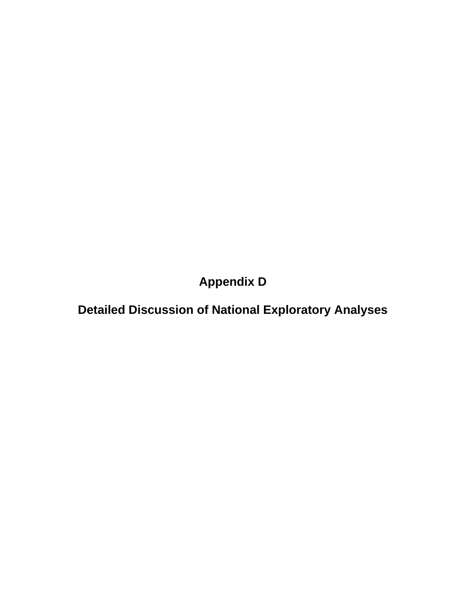**Appendix D** 

**Detailed Discussion of National Exploratory Analyses**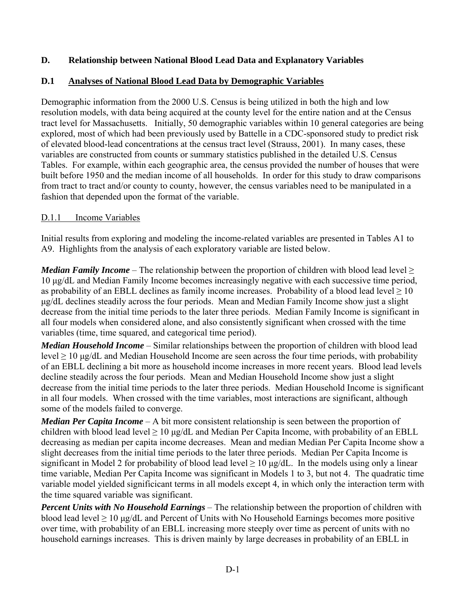### **D. Relationship between National Blood Lead Data and Explanatory Variables**

### **D.1 Analyses of National Blood Lead Data by Demographic Variables**

Demographic information from the 2000 U.S. Census is being utilized in both the high and low resolution models, with data being acquired at the county level for the entire nation and at the Census tract level for Massachusetts. Initially, 50 demographic variables within 10 general categories are being explored, most of which had been previously used by Battelle in a CDC-sponsored study to predict risk of elevated blood-lead concentrations at the census tract level (Strauss, 2001). In many cases, these variables are constructed from counts or summary statistics published in the detailed U.S. Census Tables. For example, within each geographic area, the census provided the number of houses that were built before 1950 and the median income of all households. In order for this study to draw comparisons from tract to tract and/or county to county, however, the census variables need to be manipulated in a fashion that depended upon the format of the variable.

#### D.1.1 Income Variables

Initial results from exploring and modeling the income-related variables are presented in Tables A1 to A9. Highlights from the analysis of each exploratory variable are listed below.

*Median Family Income* – The relationship between the proportion of children with blood lead level  $\geq$ 10 μg/dL and Median Family Income becomes increasingly negative with each successive time period, as probability of an EBLL declines as family income increases. Probability of a blood lead level  $\geq 10$ μg/dL declines steadily across the four periods. Mean and Median Family Income show just a slight decrease from the initial time periods to the later three periods. Median Family Income is significant in all four models when considered alone, and also consistently significant when crossed with the time variables (time, time squared, and categorical time period).

*Median Household Income* – Similar relationships between the proportion of children with blood lead level  $\geq 10$  μg/dL and Median Household Income are seen across the four time periods, with probability of an EBLL declining a bit more as household income increases in more recent years. Blood lead levels decline steadily across the four periods. Mean and Median Household Income show just a slight decrease from the initial time periods to the later three periods. Median Household Income is significant in all four models. When crossed with the time variables, most interactions are significant, although some of the models failed to converge.

*Median Per Capita Income* – A bit more consistent relationship is seen between the proportion of children with blood lead level  $\geq 10 \mu g/dL$  and Median Per Capita Income, with probability of an EBLL decreasing as median per capita income decreases. Mean and median Median Per Capita Income show a slight decreases from the initial time periods to the later three periods. Median Per Capita Income is significant in Model 2 for probability of blood lead level  $\geq 10 \mu$ g/dL. In the models using only a linear time variable, Median Per Capita Income was significant in Models 1 to 3, but not 4. The quadratic time variable model yielded significicant terms in all models except 4, in which only the interaction term with the time squared variable was significant.

*Percent Units with No Household Earnings* – The relationship between the proportion of children with blood lead level  $\geq 10$  µg/dL and Percent of Units with No Household Earnings becomes more positive over time, with probability of an EBLL increasing more steeply over time as percent of units with no household earnings increases. This is driven mainly by large decreases in probability of an EBLL in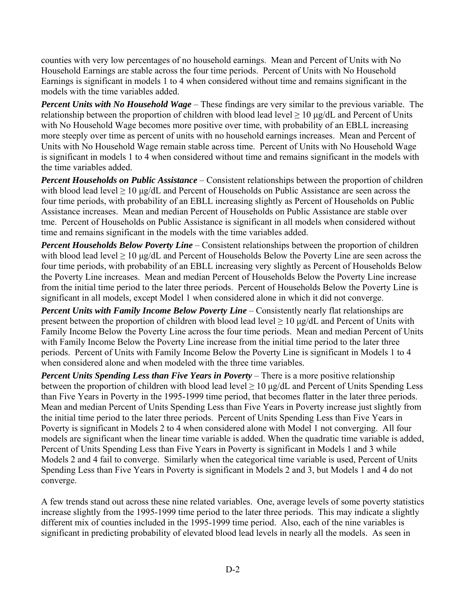counties with very low percentages of no household earnings. Mean and Percent of Units with No Household Earnings are stable across the four time periods. Percent of Units with No Household Earnings is significant in models 1 to 4 when considered without time and remains significant in the models with the time variables added.

*Percent Units with No Household Wage* – These findings are very similar to the previous variable. The relationship between the proportion of children with blood lead level  $\geq 10$  µg/dL and Percent of Units with No Household Wage becomes more positive over time, with probability of an EBLL increasing more steeply over time as percent of units with no household earnings increases. Mean and Percent of Units with No Household Wage remain stable across time. Percent of Units with No Household Wage is significant in models 1 to 4 when considered without time and remains significant in the models with the time variables added.

*Percent Households on Public Assistance* – Consistent relationships between the proportion of children with blood lead level  $\geq 10$  μg/dL and Percent of Households on Public Assistance are seen across the four time periods, with probability of an EBLL increasing slightly as Percent of Households on Public Assistance increases. Mean and median Percent of Households on Public Assistance are stable over tme. Percent of Households on Public Assistance is significant in all models when considered without time and remains significant in the models with the time variables added.

*Percent Households Below Poverty Line* – Consistent relationships between the proportion of children with blood lead level  $\geq 10$  µg/dL and Percent of Households Below the Poverty Line are seen across the four time periods, with probability of an EBLL increasing very slightly as Percent of Households Below the Poverty Line increases. Mean and median Percent of Households Below the Poverty Line increase from the initial time period to the later three periods. Percent of Households Below the Poverty Line is significant in all models, except Model 1 when considered alone in which it did not converge.

*Percent Units with Family Income Below Poverty Line* – Consistently nearly flat relationships are present between the proportion of children with blood lead level  $\geq 10 \mu g/dL$  and Percent of Units with Family Income Below the Poverty Line across the four time periods. Mean and median Percent of Units with Family Income Below the Poverty Line increase from the initial time period to the later three periods. Percent of Units with Family Income Below the Poverty Line is significant in Models 1 to 4 when considered alone and when modeled with the three time variables.

*Percent Units Spending Less than Five Years in Poverty* – There is a more positive relationship between the proportion of children with blood lead level  $\geq 10 \mu g/dL$  and Percent of Units Spending Less than Five Years in Poverty in the 1995-1999 time period, that becomes flatter in the later three periods. Mean and median Percent of Units Spending Less than Five Years in Poverty increase just slightly from the initial time period to the later three periods. Percent of Units Spending Less than Five Years in Poverty is significant in Models 2 to 4 when considered alone with Model 1 not converging. All four models are significant when the linear time variable is added. When the quadratic time variable is added, Percent of Units Spending Less than Five Years in Poverty is significant in Models 1 and 3 while Models 2 and 4 fail to converge. Similarly when the categorical time variable is used, Percent of Units Spending Less than Five Years in Poverty is significant in Models 2 and 3, but Models 1 and 4 do not converge.

A few trends stand out across these nine related variables. One, average levels of some poverty statistics increase slightly from the 1995-1999 time period to the later three periods. This may indicate a slightly different mix of counties included in the 1995-1999 time period. Also, each of the nine variables is significant in predicting probability of elevated blood lead levels in nearly all the models. As seen in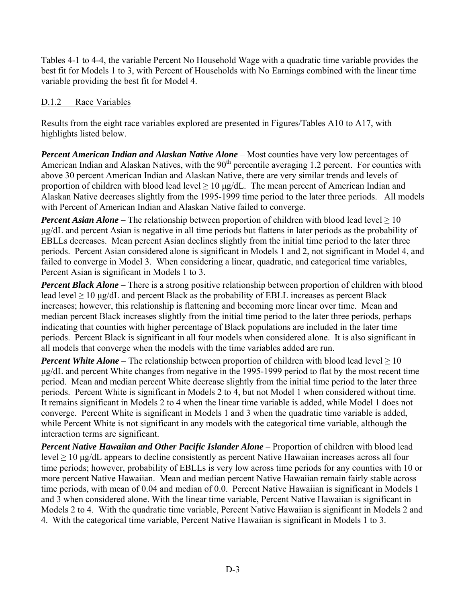Tables 4-1 to 4-4, the variable Percent No Household Wage with a quadratic time variable provides the best fit for Models 1 to 3, with Percent of Households with No Earnings combined with the linear time variable providing the best fit for Model 4.

### D.1.2 Race Variables

Results from the eight race variables explored are presented in Figures/Tables A10 to A17, with highlights listed below.

*Percent American Indian and Alaskan Native Alone* – Most counties have very low percentages of American Indian and Alaskan Natives, with the 90<sup>th</sup> percentile averaging 1.2 percent. For counties with above 30 percent American Indian and Alaskan Native, there are very similar trends and levels of proportion of children with blood lead level  $\geq 10 \mu g/dL$ . The mean percent of American Indian and Alaskan Native decreases slightly from the 1995-1999 time period to the later three periods. All models with Percent of American Indian and Alaskan Native failed to converge.

*Percent Asian Alone* – The relationship between proportion of children with blood lead level  $\geq 10$ μg/dL and percent Asian is negative in all time periods but flattens in later periods as the probability of EBLLs decreases. Mean percent Asian declines slightly from the initial time period to the later three periods. Percent Asian considered alone is significant in Models 1 and 2, not significant in Model 4, and failed to converge in Model 3. When considering a linear, quadratic, and categorical time variables, Percent Asian is significant in Models 1 to 3.

*Percent Black Alone* – There is a strong positive relationship between proportion of children with blood lead level  $\geq 10$  μg/dL and percent Black as the probability of EBLL increases as percent Black increases; however, this relationship is flattening and becoming more linear over time. Mean and median percent Black increases slightly from the initial time period to the later three periods, perhaps indicating that counties with higher percentage of Black populations are included in the later time periods. Percent Black is significant in all four models when considered alone. It is also significant in all models that converge when the models with the time variables added are run.

*Percent White Alone* – The relationship between proportion of children with blood lead level  $\geq 10$ μg/dL and percent White changes from negative in the 1995-1999 period to flat by the most recent time period. Mean and median percent White decrease slightly from the initial time period to the later three periods. Percent White is significant in Models 2 to 4, but not Model 1 when considered without time. It remains significant in Models 2 to 4 when the linear time variable is added, while Model 1 does not converge. Percent White is significant in Models 1 and 3 when the quadratic time variable is added, while Percent White is not significant in any models with the categorical time variable, although the interaction terms are significant.

*Percent Native Hawaiian and Other Pacific Islander Alone* – Proportion of children with blood lead level  $\geq$  10 μg/dL appears to decline consistently as percent Native Hawaiian increases across all four time periods; however, probability of EBLLs is very low across time periods for any counties with 10 or more percent Native Hawaiian. Mean and median percent Native Hawaiian remain fairly stable across time periods, with mean of 0.04 and median of 0.0. Percent Native Hawaiian is significant in Models 1 and 3 when considered alone. With the linear time variable, Percent Native Hawaiian is significant in Models 2 to 4. With the quadratic time variable, Percent Native Hawaiian is significant in Models 2 and 4. With the categorical time variable, Percent Native Hawaiian is significant in Models 1 to 3.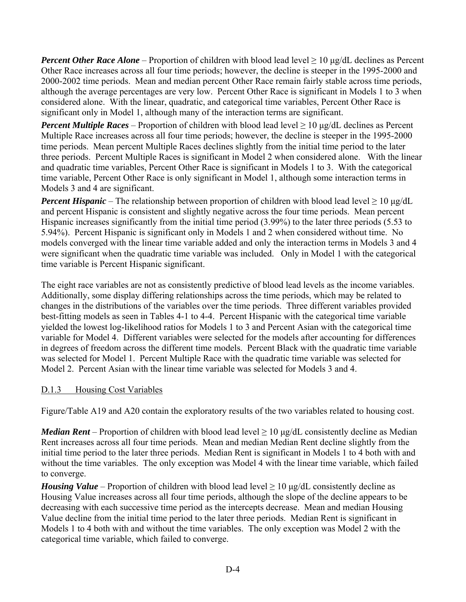*Percent Other Race Alone* – Proportion of children with blood lead level ≥ 10 μg/dL declines as Percent Other Race increases across all four time periods; however, the decline is steeper in the 1995-2000 and 2000-2002 time periods. Mean and median percent Other Race remain fairly stable across time periods, although the average percentages are very low. Percent Other Race is significant in Models 1 to 3 when considered alone. With the linear, quadratic, and categorical time variables, Percent Other Race is significant only in Model 1, although many of the interaction terms are significant.

*Percent Multiple Races* – Proportion of children with blood lead level  $\geq 10 \mu$ g/dL declines as Percent Multiple Race increases across all four time periods; however, the decline is steeper in the 1995-2000 time periods. Mean percent Multiple Races declines slightly from the initial time period to the later three periods. Percent Multiple Races is significant in Model 2 when considered alone. With the linear and quadratic time variables, Percent Other Race is significant in Models 1 to 3. With the categorical time variable, Percent Other Race is only significant in Model 1, although some interaction terms in Models 3 and 4 are significant.

*Percent Hispanic* – The relationship between proportion of children with blood lead level  $\geq 10 \mu$ g/dL and percent Hispanic is consistent and slightly negative across the four time periods. Mean percent Hispanic increases significantly from the initial time period (3.99%) to the later three periods (5.53 to 5.94%). Percent Hispanic is significant only in Models 1 and 2 when considered without time. No models converged with the linear time variable added and only the interaction terms in Models 3 and 4 were significant when the quadratic time variable was included. Only in Model 1 with the categorical time variable is Percent Hispanic significant.

The eight race variables are not as consistently predictive of blood lead levels as the income variables. Additionally, some display differing relationships across the time periods, which may be related to changes in the distributions of the variables over the time periods. Three different variables provided best-fitting models as seen in Tables 4-1 to 4-4. Percent Hispanic with the categorical time variable yielded the lowest log-likelihood ratios for Models 1 to 3 and Percent Asian with the categorical time variable for Model 4. Different variables were selected for the models after accounting for differences in degrees of freedom across the different time models. Percent Black with the quadratic time variable was selected for Model 1. Percent Multiple Race with the quadratic time variable was selected for Model 2. Percent Asian with the linear time variable was selected for Models 3 and 4.

#### D.1.3 Housing Cost Variables

Figure/Table A19 and A20 contain the exploratory results of the two variables related to housing cost.

*Median Rent* – Proportion of children with blood lead level  $\geq 10 \mu g/dL$  consistently decline as Median Rent increases across all four time periods. Mean and median Median Rent decline slightly from the initial time period to the later three periods. Median Rent is significant in Models 1 to 4 both with and without the time variables. The only exception was Model 4 with the linear time variable, which failed to converge.

*Housing Value* – Proportion of children with blood lead level  $\geq 10 \mu g/dL$  consistently decline as Housing Value increases across all four time periods, although the slope of the decline appears to be decreasing with each successive time period as the intercepts decrease. Mean and median Housing Value decline from the initial time period to the later three periods. Median Rent is significant in Models 1 to 4 both with and without the time variables. The only exception was Model 2 with the categorical time variable, which failed to converge.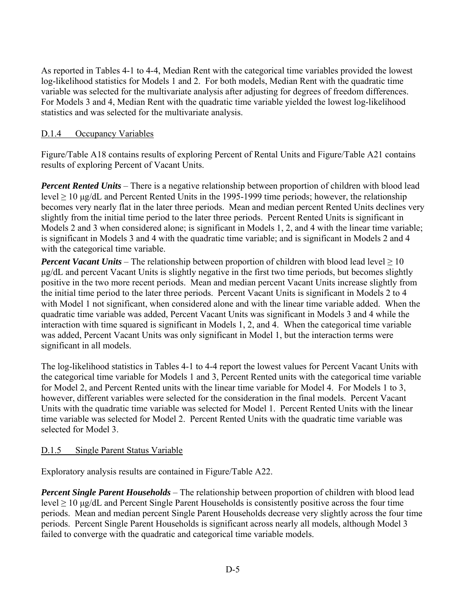As reported in Tables 4-1 to 4-4, Median Rent with the categorical time variables provided the lowest log-likelihood statistics for Models 1 and 2. For both models, Median Rent with the quadratic time variable was selected for the multivariate analysis after adjusting for degrees of freedom differences. For Models 3 and 4, Median Rent with the quadratic time variable yielded the lowest log-likelihood statistics and was selected for the multivariate analysis.

#### D.1.4 Occupancy Variables

Figure/Table A18 contains results of exploring Percent of Rental Units and Figure/Table A21 contains results of exploring Percent of Vacant Units.

*Percent Rented Units* – There is a negative relationship between proportion of children with blood lead level  $\geq 10$  μg/dL and Percent Rented Units in the 1995-1999 time periods; however, the relationship becomes very nearly flat in the later three periods. Mean and median percent Rented Units declines very slightly from the initial time period to the later three periods. Percent Rented Units is significant in Models 2 and 3 when considered alone; is significant in Models 1, 2, and 4 with the linear time variable; is significant in Models 3 and 4 with the quadratic time variable; and is significant in Models 2 and 4 with the categorical time variable.

*Percent Vacant Units* – The relationship between proportion of children with blood lead level  $\geq 10$ μg/dL and percent Vacant Units is slightly negative in the first two time periods, but becomes slightly positive in the two more recent periods. Mean and median percent Vacant Units increase slightly from the initial time period to the later three periods. Percent Vacant Units is significant in Models 2 to 4 with Model 1 not significant, when considered alone and with the linear time variable added. When the quadratic time variable was added, Percent Vacant Units was significant in Models 3 and 4 while the interaction with time squared is significant in Models 1, 2, and 4. When the categorical time variable was added, Percent Vacant Units was only significant in Model 1, but the interaction terms were significant in all models.

The log-likelihood statistics in Tables 4-1 to 4-4 report the lowest values for Percent Vacant Units with the categorical time variable for Models 1 and 3, Percent Rented units with the categorical time variable for Model 2, and Percent Rented units with the linear time variable for Model 4. For Models 1 to 3, however, different variables were selected for the consideration in the final models. Percent Vacant Units with the quadratic time variable was selected for Model 1. Percent Rented Units with the linear time variable was selected for Model 2. Percent Rented Units with the quadratic time variable was selected for Model 3.

#### D.1.5 Single Parent Status Variable

Exploratory analysis results are contained in Figure/Table A22.

*Percent Single Parent Households* – The relationship between proportion of children with blood lead level ≥ 10 μg/dL and Percent Single Parent Households is consistently positive across the four time periods. Mean and median percent Single Parent Households decrease very slightly across the four time periods. Percent Single Parent Households is significant across nearly all models, although Model 3 failed to converge with the quadratic and categorical time variable models.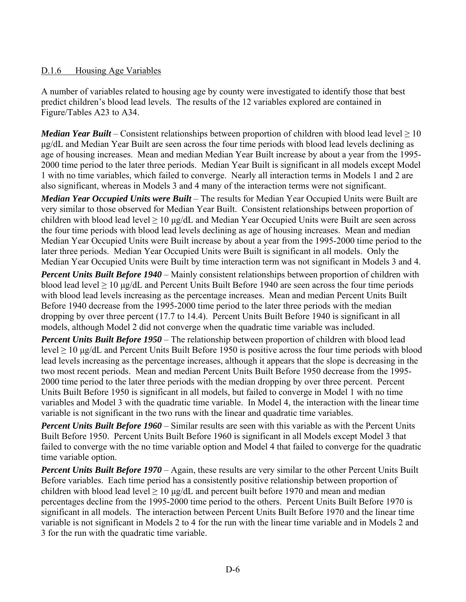### D.1.6 Housing Age Variables

A number of variables related to housing age by county were investigated to identify those that best predict children's blood lead levels. The results of the 12 variables explored are contained in Figure/Tables A23 to A34.

*Median Year Built* – Consistent relationships between proportion of children with blood lead level  $\geq 10$ μg/dL and Median Year Built are seen across the four time periods with blood lead levels declining as age of housing increases. Mean and median Median Year Built increase by about a year from the 1995- 2000 time period to the later three periods. Median Year Built is significant in all models except Model 1 with no time variables, which failed to converge. Nearly all interaction terms in Models 1 and 2 are also significant, whereas in Models 3 and 4 many of the interaction terms were not significant.

*Median Year Occupied Units were Built* – The results for Median Year Occupied Units were Built are very similar to those observed for Median Year Built. Consistent relationships between proportion of children with blood lead level  $\geq 10 \mu g/dL$  and Median Year Occupied Units were Built are seen across the four time periods with blood lead levels declining as age of housing increases. Mean and median Median Year Occupied Units were Built increase by about a year from the 1995-2000 time period to the later three periods. Median Year Occupied Units were Built is significant in all models. Only the Median Year Occupied Units were Built by time interaction term was not significant in Models 3 and 4.

*Percent Units Built Before 1940* – Mainly consistent relationships between proportion of children with blood lead level  $\geq 10$  μg/dL and Percent Units Built Before 1940 are seen across the four time periods with blood lead levels increasing as the percentage increases. Mean and median Percent Units Built Before 1940 decrease from the 1995-2000 time period to the later three periods with the median dropping by over three percent (17.7 to 14.4). Percent Units Built Before 1940 is significant in all models, although Model 2 did not converge when the quadratic time variable was included.

*Percent Units Built Before 1950* – The relationship between proportion of children with blood lead level  $\geq 10$  μg/dL and Percent Units Built Before 1950 is positive across the four time periods with blood lead levels increasing as the percentage increases, although it appears that the slope is decreasing in the two most recent periods. Mean and median Percent Units Built Before 1950 decrease from the 1995- 2000 time period to the later three periods with the median dropping by over three percent. Percent Units Built Before 1950 is significant in all models, but failed to converge in Model 1 with no time variables and Model 3 with the quadratic time variable. In Model 4, the interaction with the linear time variable is not significant in the two runs with the linear and quadratic time variables.

*Percent Units Built Before 1960* – Similar results are seen with this variable as with the Percent Units Built Before 1950. Percent Units Built Before 1960 is significant in all Models except Model 3 that failed to converge with the no time variable option and Model 4 that failed to converge for the quadratic time variable option.

*Percent Units Built Before 1970* – Again, these results are very similar to the other Percent Units Built Before variables. Each time period has a consistently positive relationship between proportion of children with blood lead level  $\geq 10 \mu g/dL$  and percent built before 1970 and mean and median percentages decline from the 1995-2000 time period to the others. Percent Units Built Before 1970 is significant in all models. The interaction between Percent Units Built Before 1970 and the linear time variable is not significant in Models 2 to 4 for the run with the linear time variable and in Models 2 and 3 for the run with the quadratic time variable.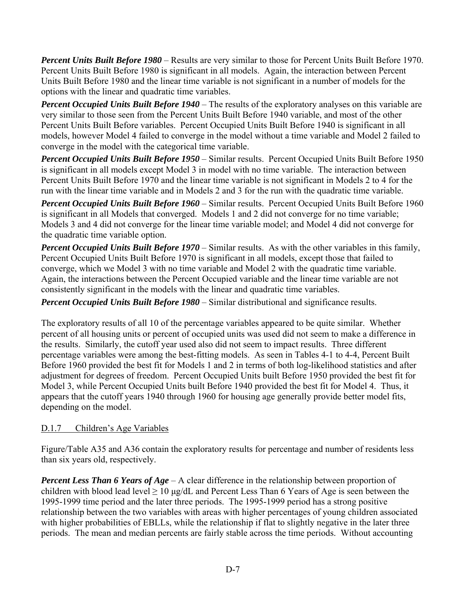*Percent Units Built Before 1980* – Results are very similar to those for Percent Units Built Before 1970. Percent Units Built Before 1980 is significant in all models. Again, the interaction between Percent Units Built Before 1980 and the linear time variable is not significant in a number of models for the options with the linear and quadratic time variables.

*Percent Occupied Units Built Before 1940* – The results of the exploratory analyses on this variable are very similar to those seen from the Percent Units Built Before 1940 variable, and most of the other Percent Units Built Before variables. Percent Occupied Units Built Before 1940 is significant in all models, however Model 4 failed to converge in the model without a time variable and Model 2 failed to converge in the model with the categorical time variable.

*Percent Occupied Units Built Before 1950* – Similar results. Percent Occupied Units Built Before 1950 is significant in all models except Model 3 in model with no time variable. The interaction between Percent Units Built Before 1970 and the linear time variable is not significant in Models 2 to 4 for the run with the linear time variable and in Models 2 and 3 for the run with the quadratic time variable.

*Percent Occupied Units Built Before 1960* – Similar results. Percent Occupied Units Built Before 1960 is significant in all Models that converged. Models 1 and 2 did not converge for no time variable; Models 3 and 4 did not converge for the linear time variable model; and Model 4 did not converge for the quadratic time variable option.

*Percent Occupied Units Built Before 1970* – Similar results. As with the other variables in this family, Percent Occupied Units Built Before 1970 is significant in all models, except those that failed to converge, which we Model 3 with no time variable and Model 2 with the quadratic time variable. Again, the interactions between the Percent Occupied variable and the linear time variable are not consistently significant in the models with the linear and quadratic time variables.

*Percent Occupied Units Built Before 1980* – Similar distributional and significance results.

The exploratory results of all 10 of the percentage variables appeared to be quite similar. Whether percent of all housing units or percent of occupied units was used did not seem to make a difference in the results. Similarly, the cutoff year used also did not seem to impact results. Three different percentage variables were among the best-fitting models. As seen in Tables 4-1 to 4-4, Percent Built Before 1960 provided the best fit for Models 1 and 2 in terms of both log-likelihood statistics and after adjustment for degrees of freedom. Percent Occupied Units built Before 1950 provided the best fit for Model 3, while Percent Occupied Units built Before 1940 provided the best fit for Model 4. Thus, it appears that the cutoff years 1940 through 1960 for housing age generally provide better model fits, depending on the model.

# D.1.7 Children's Age Variables

Figure/Table A35 and A36 contain the exploratory results for percentage and number of residents less than six years old, respectively.

*Percent Less Than 6 Years of Age* – A clear difference in the relationship between proportion of children with blood lead level  $\geq 10 \mu g/dL$  and Percent Less Than 6 Years of Age is seen between the 1995-1999 time period and the later three periods. The 1995-1999 period has a strong positive relationship between the two variables with areas with higher percentages of young children associated with higher probabilities of EBLLs, while the relationship if flat to slightly negative in the later three periods. The mean and median percents are fairly stable across the time periods. Without accounting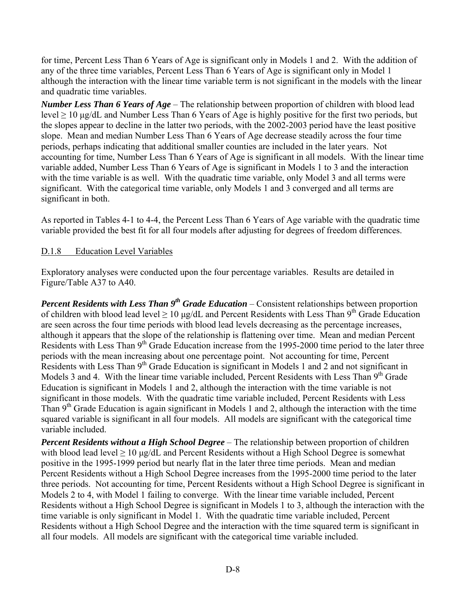for time, Percent Less Than 6 Years of Age is significant only in Models 1 and 2. With the addition of any of the three time variables, Percent Less Than 6 Years of Age is significant only in Model 1 although the interaction with the linear time variable term is not significant in the models with the linear and quadratic time variables.

*Number Less Than 6 Years of Age* – The relationship between proportion of children with blood lead level  $\geq 10$  μg/dL and Number Less Than 6 Years of Age is highly positive for the first two periods, but the slopes appear to decline in the latter two periods, with the 2002-2003 period have the least positive slope. Mean and median Number Less Than 6 Years of Age decrease steadily across the four time periods, perhaps indicating that additional smaller counties are included in the later years. Not accounting for time, Number Less Than 6 Years of Age is significant in all models. With the linear time variable added, Number Less Than 6 Years of Age is significant in Models 1 to 3 and the interaction with the time variable is as well. With the quadratic time variable, only Model 3 and all terms were significant. With the categorical time variable, only Models 1 and 3 converged and all terms are significant in both.

As reported in Tables 4-1 to 4-4, the Percent Less Than 6 Years of Age variable with the quadratic time variable provided the best fit for all four models after adjusting for degrees of freedom differences.

### D.1.8 Education Level Variables

Exploratory analyses were conducted upon the four percentage variables. Results are detailed in Figure/Table A37 to A40.

*Percent Residents with Less Than 9<sup>th</sup> Grade Education* – Consistent relationships between proportion of children with blood lead level  $> 10 \mu g/dL$  and Percent Residents with Less Than 9<sup>th</sup> Grade Education are seen across the four time periods with blood lead levels decreasing as the percentage increases, although it appears that the slope of the relationship is flattening over time. Mean and median Percent Residents with Less Than 9<sup>th</sup> Grade Education increase from the 1995-2000 time period to the later three periods with the mean increasing about one percentage point. Not accounting for time, Percent Residents with Less Than 9<sup>th</sup> Grade Education is significant in Models 1 and 2 and not significant in Models 3 and 4. With the linear time variable included, Percent Residents with Less Than 9<sup>th</sup> Grade Education is significant in Models 1 and 2, although the interaction with the time variable is not significant in those models. With the quadratic time variable included, Percent Residents with Less Than  $9<sup>th</sup>$  Grade Education is again significant in Models 1 and 2, although the interaction with the time squared variable is significant in all four models. All models are significant with the categorical time variable included.

*Percent Residents without a High School Degree* – The relationship between proportion of children with blood lead level  $> 10 \mu g/dL$  and Percent Residents without a High School Degree is somewhat positive in the 1995-1999 period but nearly flat in the later three time periods. Mean and median Percent Residents without a High School Degree increases from the 1995-2000 time period to the later three periods. Not accounting for time, Percent Residents without a High School Degree is significant in Models 2 to 4, with Model 1 failing to converge. With the linear time variable included, Percent Residents without a High School Degree is significant in Models 1 to 3, although the interaction with the time variable is only significant in Model 1. With the quadratic time variable included, Percent Residents without a High School Degree and the interaction with the time squared term is significant in all four models. All models are significant with the categorical time variable included.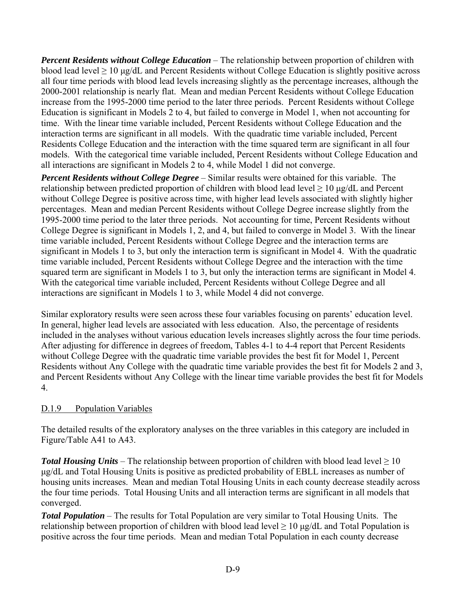*Percent Residents without College Education* – The relationship between proportion of children with blood lead level  $\geq 10$  μg/dL and Percent Residents without College Education is slightly positive across all four time periods with blood lead levels increasing slightly as the percentage increases, although the 2000-2001 relationship is nearly flat. Mean and median Percent Residents without College Education increase from the 1995-2000 time period to the later three periods. Percent Residents without College Education is significant in Models 2 to 4, but failed to converge in Model 1, when not accounting for time. With the linear time variable included, Percent Residents without College Education and the interaction terms are significant in all models. With the quadratic time variable included, Percent Residents College Education and the interaction with the time squared term are significant in all four models. With the categorical time variable included, Percent Residents without College Education and all interactions are significant in Models 2 to 4, while Model 1 did not converge.

*Percent Residents without College Degree* – Similar results were obtained for this variable. The relationship between predicted proportion of children with blood lead level  $\geq 10 \mu g/dL$  and Percent without College Degree is positive across time, with higher lead levels associated with slightly higher percentages. Mean and median Percent Residents without College Degree increase slightly from the 1995-2000 time period to the later three periods. Not accounting for time, Percent Residents without College Degree is significant in Models 1, 2, and 4, but failed to converge in Model 3. With the linear time variable included, Percent Residents without College Degree and the interaction terms are significant in Models 1 to 3, but only the interaction term is significant in Model 4. With the quadratic time variable included, Percent Residents without College Degree and the interaction with the time squared term are significant in Models 1 to 3, but only the interaction terms are significant in Model 4. With the categorical time variable included, Percent Residents without College Degree and all interactions are significant in Models 1 to 3, while Model 4 did not converge.

Similar exploratory results were seen across these four variables focusing on parents' education level. In general, higher lead levels are associated with less education. Also, the percentage of residents included in the analyses without various education levels increases slightly across the four time periods. After adjusting for difference in degrees of freedom, Tables 4-1 to 4-4 report that Percent Residents without College Degree with the quadratic time variable provides the best fit for Model 1, Percent Residents without Any College with the quadratic time variable provides the best fit for Models 2 and 3, and Percent Residents without Any College with the linear time variable provides the best fit for Models 4.

# D.1.9 Population Variables

The detailed results of the exploratory analyses on the three variables in this category are included in Figure/Table A41 to A43.

*Total Housing Units* – The relationship between proportion of children with blood lead level  $\geq 10$ μg/dL and Total Housing Units is positive as predicted probability of EBLL increases as number of housing units increases. Mean and median Total Housing Units in each county decrease steadily across the four time periods. Total Housing Units and all interaction terms are significant in all models that converged.

*Total Population* – The results for Total Population are very similar to Total Housing Units. The relationship between proportion of children with blood lead level  $\geq 10 \mu g/dL$  and Total Population is positive across the four time periods. Mean and median Total Population in each county decrease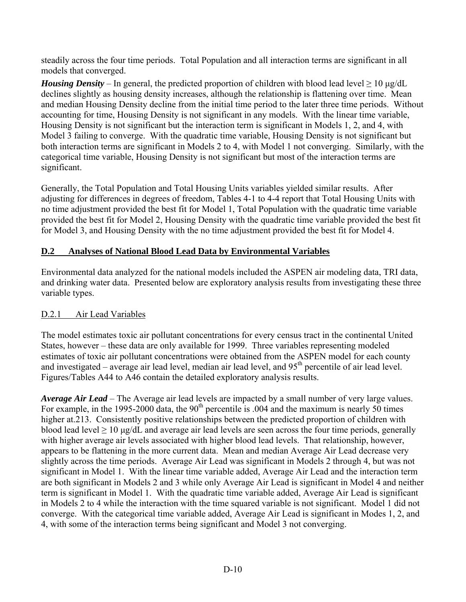steadily across the four time periods. Total Population and all interaction terms are significant in all models that converged.

*Housing Density* – In general, the predicted proportion of children with blood lead level  $\geq 10 \text{ µg/dL}$ declines slightly as housing density increases, although the relationship is flattening over time. Mean and median Housing Density decline from the initial time period to the later three time periods. Without accounting for time, Housing Density is not significant in any models. With the linear time variable, Housing Density is not significant but the interaction term is significant in Models 1, 2, and 4, with Model 3 failing to converge. With the quadratic time variable, Housing Density is not significant but both interaction terms are significant in Models 2 to 4, with Model 1 not converging. Similarly, with the categorical time variable, Housing Density is not significant but most of the interaction terms are significant.

Generally, the Total Population and Total Housing Units variables yielded similar results. After adjusting for differences in degrees of freedom, Tables 4-1 to 4-4 report that Total Housing Units with no time adjustment provided the best fit for Model 1, Total Population with the quadratic time variable provided the best fit for Model 2, Housing Density with the quadratic time variable provided the best fit for Model 3, and Housing Density with the no time adjustment provided the best fit for Model 4.

# **D.2 Analyses of National Blood Lead Data by Environmental Variables**

Environmental data analyzed for the national models included the ASPEN air modeling data, TRI data, and drinking water data. Presented below are exploratory analysis results from investigating these three variable types.

# D.2.1 Air Lead Variables

The model estimates toxic air pollutant concentrations for every census tract in the continental United States, however – these data are only available for 1999. Three variables representing modeled estimates of toxic air pollutant concentrations were obtained from the ASPEN model for each county and investigated – average air lead level, median air lead level, and  $95<sup>th</sup>$  percentile of air lead level. Figures/Tables A44 to A46 contain the detailed exploratory analysis results.

*Average Air Lead* – The Average air lead levels are impacted by a small number of very large values. For example, in the 1995-2000 data, the  $90<sup>th</sup>$  percentile is .004 and the maximum is nearly 50 times higher at.213. Consistently positive relationships between the predicted proportion of children with blood lead level  $\geq 10$  μg/dL and average air lead levels are seen across the four time periods, generally with higher average air levels associated with higher blood lead levels. That relationship, however, appears to be flattening in the more current data. Mean and median Average Air Lead decrease very slightly across the time periods. Average Air Lead was significant in Models 2 through 4, but was not significant in Model 1. With the linear time variable added, Average Air Lead and the interaction term are both significant in Models 2 and 3 while only Average Air Lead is significant in Model 4 and neither term is significant in Model 1. With the quadratic time variable added, Average Air Lead is significant in Models 2 to 4 while the interaction with the time squared variable is not significant. Model 1 did not converge. With the categorical time variable added, Average Air Lead is significant in Modes 1, 2, and 4, with some of the interaction terms being significant and Model 3 not converging.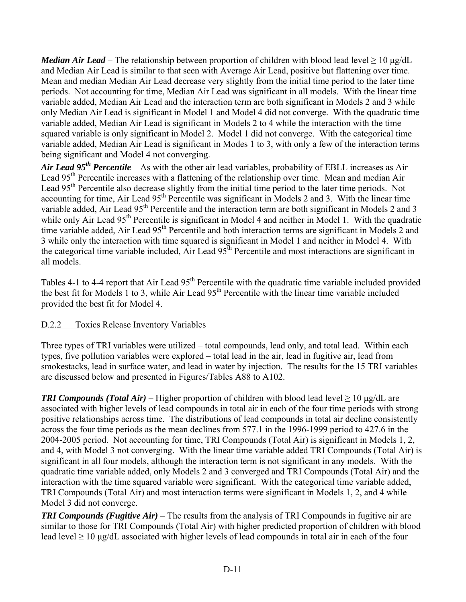*Median Air Lead* – The relationship between proportion of children with blood lead level  $\geq 10 \mu$ g/dL and Median Air Lead is similar to that seen with Average Air Lead, positive but flattening over time. Mean and median Median Air Lead decrease very slightly from the initial time period to the later time periods. Not accounting for time, Median Air Lead was significant in all models. With the linear time variable added, Median Air Lead and the interaction term are both significant in Models 2 and 3 while only Median Air Lead is significant in Model 1 and Model 4 did not converge. With the quadratic time variable added, Median Air Lead is significant in Models 2 to 4 while the interaction with the time squared variable is only significant in Model 2. Model 1 did not converge. With the categorical time variable added, Median Air Lead is significant in Modes 1 to 3, with only a few of the interaction terms being significant and Model 4 not converging.

*Air Lead 95th Percentile* – As with the other air lead variables, probability of EBLL increases as Air Lead 95<sup>th</sup> Percentile increases with a flattening of the relationship over time. Mean and median Air Lead 95<sup>th</sup> Percentile also decrease slightly from the initial time period to the later time periods. Not accounting for time, Air Lead 95<sup>th</sup> Percentile was significant in Models 2 and 3. With the linear time variable added, Air Lead 95<sup>th</sup> Percentile and the interaction term are both significant in Models 2 and 3 while only Air Lead 95<sup>th</sup> Percentile is significant in Model 4 and neither in Model 1. With the quadratic time variable added, Air Lead 95<sup>th</sup> Percentile and both interaction terms are significant in Models 2 and 3 while only the interaction with time squared is significant in Model 1 and neither in Model 4. With the categorical time variable included, Air Lead  $95<sup>th</sup>$  Percentile and most interactions are significant in all models.

Tables 4-1 to 4-4 report that Air Lead 95<sup>th</sup> Percentile with the quadratic time variable included provided the best fit for Models 1 to 3, while Air Lead 95<sup>th</sup> Percentile with the linear time variable included provided the best fit for Model 4.

# D.2.2 Toxics Release Inventory Variables

Three types of TRI variables were utilized – total compounds, lead only, and total lead. Within each types, five pollution variables were explored – total lead in the air, lead in fugitive air, lead from smokestacks, lead in surface water, and lead in water by injection. The results for the 15 TRI variables are discussed below and presented in Figures/Tables A88 to A102.

*TRI Compounds (Total Air)* – Higher proportion of children with blood lead level > 10 μg/dL are associated with higher levels of lead compounds in total air in each of the four time periods with strong positive relationships across time. The distributions of lead compounds in total air decline consistently across the four time periods as the mean declines from 577.1 in the 1996-1999 period to 427.6 in the 2004-2005 period. Not accounting for time, TRI Compounds (Total Air) is significant in Models 1, 2, and 4, with Model 3 not converging. With the linear time variable added TRI Compounds (Total Air) is significant in all four models, although the interaction term is not significant in any models. With the quadratic time variable added, only Models 2 and 3 converged and TRI Compounds (Total Air) and the interaction with the time squared variable were significant. With the categorical time variable added, TRI Compounds (Total Air) and most interaction terms were significant in Models 1, 2, and 4 while Model 3 did not converge.

*TRI Compounds (Fugitive Air)* – The results from the analysis of TRI Compounds in fugitive air are similar to those for TRI Compounds (Total Air) with higher predicted proportion of children with blood lead level  $\geq 10$  μg/dL associated with higher levels of lead compounds in total air in each of the four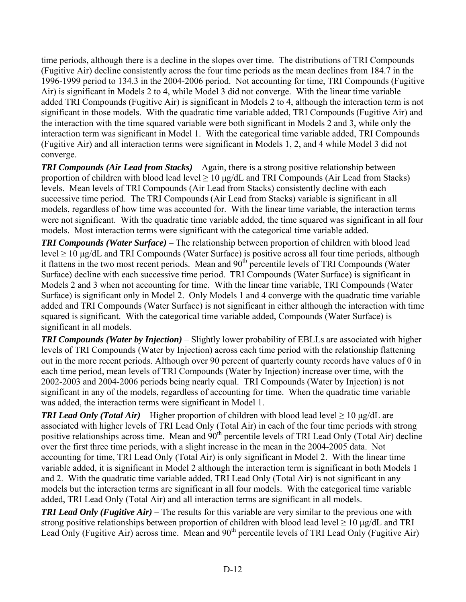time periods, although there is a decline in the slopes over time. The distributions of TRI Compounds (Fugitive Air) decline consistently across the four time periods as the mean declines from 184.7 in the 1996-1999 period to 134.3 in the 2004-2006 period. Not accounting for time, TRI Compounds (Fugitive Air) is significant in Models 2 to 4, while Model 3 did not converge. With the linear time variable added TRI Compounds (Fugitive Air) is significant in Models 2 to 4, although the interaction term is not significant in those models. With the quadratic time variable added, TRI Compounds (Fugitive Air) and the interaction with the time squared variable were both significant in Models 2 and 3, while only the interaction term was significant in Model 1. With the categorical time variable added, TRI Compounds (Fugitive Air) and all interaction terms were significant in Models 1, 2, and 4 while Model 3 did not converge.

*TRI Compounds (Air Lead from Stacks)* – Again, there is a strong positive relationship between proportion of children with blood lead level  $\geq 10 \mu$ g/dL and TRI Compounds (Air Lead from Stacks) levels. Mean levels of TRI Compounds (Air Lead from Stacks) consistently decline with each successive time period. The TRI Compounds (Air Lead from Stacks) variable is significant in all models, regardless of how time was accounted for. With the linear time variable, the interaction terms were not significant. With the quadratic time variable added, the time squared was significant in all four models. Most interaction terms were significant with the categorical time variable added.

*TRI Compounds (Water Surface)* – The relationship between proportion of children with blood lead level ≥ 10 μg/dL and TRI Compounds (Water Surface) is positive across all four time periods, although it flattens in the two most recent periods. Mean and 90<sup>th</sup> percentile levels of TRI Compounds (Water Surface) decline with each successive time period. TRI Compounds (Water Surface) is significant in Models 2 and 3 when not accounting for time. With the linear time variable, TRI Compounds (Water Surface) is significant only in Model 2. Only Models 1 and 4 converge with the quadratic time variable added and TRI Compounds (Water Surface) is not significant in either although the interaction with time squared is significant. With the categorical time variable added, Compounds (Water Surface) is significant in all models.

*TRI Compounds (Water by Injection)* – Slightly lower probability of EBLLs are associated with higher levels of TRI Compounds (Water by Injection) across each time period with the relationship flattening out in the more recent periods. Although over 90 percent of quarterly county records have values of 0 in each time period, mean levels of TRI Compounds (Water by Injection) increase over time, with the 2002-2003 and 2004-2006 periods being nearly equal. TRI Compounds (Water by Injection) is not significant in any of the models, regardless of accounting for time. When the quadratic time variable was added, the interaction terms were significant in Model 1.

*TRI Lead Only (Total Air)* – Higher proportion of children with blood lead level  $\geq 10$  µg/dL are associated with higher levels of TRI Lead Only (Total Air) in each of the four time periods with strong positive relationships across time. Mean and 90<sup>th</sup> percentile levels of TRI Lead Only (Total Air) decline over the first three time periods, with a slight increase in the mean in the 2004-2005 data. Not accounting for time, TRI Lead Only (Total Air) is only significant in Model 2. With the linear time variable added, it is significant in Model 2 although the interaction term is significant in both Models 1 and 2. With the quadratic time variable added, TRI Lead Only (Total Air) is not significant in any models but the interaction terms are significant in all four models. With the categorical time variable added, TRI Lead Only (Total Air) and all interaction terms are significant in all models.

*TRI Lead Only (Fugitive Air)* – The results for this variable are very similar to the previous one with strong positive relationships between proportion of children with blood lead level  $\geq 10 \mu g/dL$  and TRI Lead Only (Fugitive Air) across time. Mean and  $90<sup>th</sup>$  percentile levels of TRI Lead Only (Fugitive Air)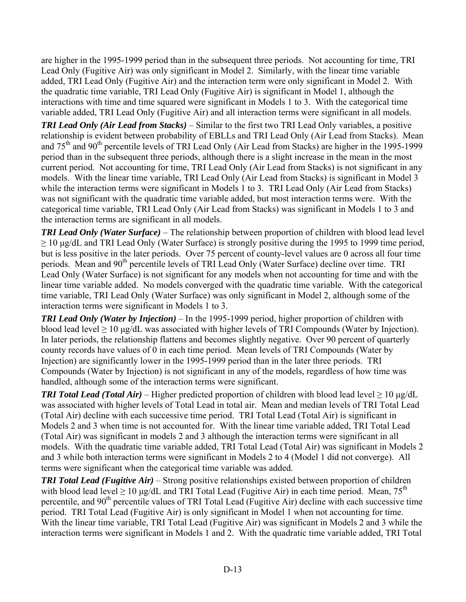are higher in the 1995-1999 period than in the subsequent three periods. Not accounting for time, TRI Lead Only (Fugitive Air) was only significant in Model 2. Similarly, with the linear time variable added, TRI Lead Only (Fugitive Air) and the interaction term were only significant in Model 2. With the quadratic time variable, TRI Lead Only (Fugitive Air) is significant in Model 1, although the interactions with time and time squared were significant in Models 1 to 3. With the categorical time variable added, TRI Lead Only (Fugitive Air) and all interaction terms were significant in all models.

*TRI Lead Only (Air Lead from Stacks)* – Similar to the first two TRI Lead Only variables, a positive relationship is evident between probability of EBLLs and TRI Lead Only (Air Lead from Stacks). Mean and  $75<sup>th</sup>$  and  $90<sup>th</sup>$  percentile levels of TRI Lead Only (Air Lead from Stacks) are higher in the 1995-1999 period than in the subsequent three periods, although there is a slight increase in the mean in the most current period. Not accounting for time, TRI Lead Only (Air Lead from Stacks) is not significant in any models. With the linear time variable, TRI Lead Only (Air Lead from Stacks) is significant in Model 3 while the interaction terms were significant in Models 1 to 3. TRI Lead Only (Air Lead from Stacks) was not significant with the quadratic time variable added, but most interaction terms were. With the categorical time variable, TRI Lead Only (Air Lead from Stacks) was significant in Models 1 to 3 and the interaction terms are significant in all models.

*TRI Lead Only (Water Surface)* – The relationship between proportion of children with blood lead level ≥ 10 μg/dL and TRI Lead Only (Water Surface) is strongly positive during the 1995 to 1999 time period, but is less positive in the later periods. Over 75 percent of county-level values are 0 across all four time periods. Mean and 90<sup>th</sup> percentile levels of TRI Lead Only (Water Surface) decline over time. TRI Lead Only (Water Surface) is not significant for any models when not accounting for time and with the linear time variable added. No models converged with the quadratic time variable. With the categorical time variable, TRI Lead Only (Water Surface) was only significant in Model 2, although some of the interaction terms were significant in Models 1 to 3.

*TRI Lead Only (Water by Injection)* – In the 1995-1999 period, higher proportion of children with blood lead level  $\geq 10$  μg/dL was associated with higher levels of TRI Compounds (Water by Injection). In later periods, the relationship flattens and becomes slightly negative. Over 90 percent of quarterly county records have values of 0 in each time period. Mean levels of TRI Compounds (Water by Injection) are significantly lower in the 1995-1999 period than in the later three periods. TRI Compounds (Water by Injection) is not significant in any of the models, regardless of how time was handled, although some of the interaction terms were significant.

*TRI Total Lead (Total Air)* – Higher predicted proportion of children with blood lead level  $\geq 10 \mu$ g/dL was associated with higher levels of Total Lead in total air. Mean and median levels of TRI Total Lead (Total Air) decline with each successive time period. TRI Total Lead (Total Air) is significant in Models 2 and 3 when time is not accounted for. With the linear time variable added, TRI Total Lead (Total Air) was significant in models 2 and 3 although the interaction terms were significant in all models. With the quadratic time variable added, TRI Total Lead (Total Air) was significant in Models 2 and 3 while both interaction terms were significant in Models 2 to 4 (Model 1 did not converge). All terms were significant when the categorical time variable was added.

*TRI Total Lead (Fugitive Air)* – Strong positive relationships existed between proportion of children with blood lead level  $\geq 10$  μg/dL and TRI Total Lead (Fugitive Air) in each time period. Mean, 75<sup>th</sup> percentile, and 90<sup>th</sup> percentile values of TRI Total Lead (Fugitive Air) decline with each successive time period. TRI Total Lead (Fugitive Air) is only significant in Model 1 when not accounting for time. With the linear time variable, TRI Total Lead (Fugitive Air) was significant in Models 2 and 3 while the interaction terms were significant in Models 1 and 2. With the quadratic time variable added, TRI Total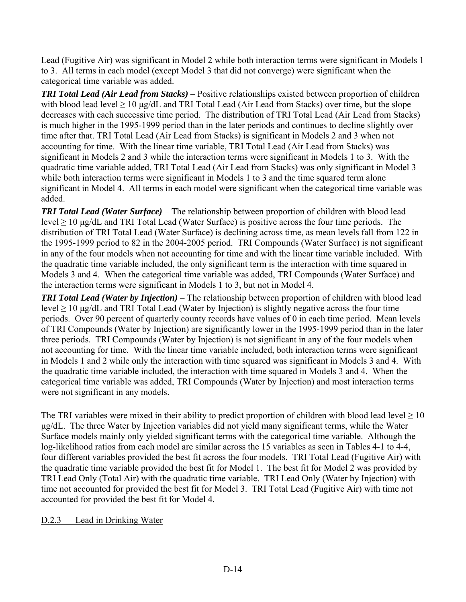Lead (Fugitive Air) was significant in Model 2 while both interaction terms were significant in Models 1 to 3. All terms in each model (except Model 3 that did not converge) were significant when the categorical time variable was added.

*TRI Total Lead (Air Lead from Stacks)* – Positive relationships existed between proportion of children with blood lead level  $\geq 10$  μg/dL and TRI Total Lead (Air Lead from Stacks) over time, but the slope decreases with each successive time period. The distribution of TRI Total Lead (Air Lead from Stacks) is much higher in the 1995-1999 period than in the later periods and continues to decline slightly over time after that. TRI Total Lead (Air Lead from Stacks) is significant in Models 2 and 3 when not accounting for time. With the linear time variable, TRI Total Lead (Air Lead from Stacks) was significant in Models 2 and 3 while the interaction terms were significant in Models 1 to 3. With the quadratic time variable added, TRI Total Lead (Air Lead from Stacks) was only significant in Model 3 while both interaction terms were significant in Models 1 to 3 and the time squared term alone significant in Model 4. All terms in each model were significant when the categorical time variable was added.

*TRI Total Lead (Water Surface)* – The relationship between proportion of children with blood lead level  $\geq 10$  μg/dL and TRI Total Lead (Water Surface) is positive across the four time periods. The distribution of TRI Total Lead (Water Surface) is declining across time, as mean levels fall from 122 in the 1995-1999 period to 82 in the 2004-2005 period. TRI Compounds (Water Surface) is not significant in any of the four models when not accounting for time and with the linear time variable included. With the quadratic time variable included, the only significant term is the interaction with time squared in Models 3 and 4. When the categorical time variable was added, TRI Compounds (Water Surface) and the interaction terms were significant in Models 1 to 3, but not in Model 4.

*TRI Total Lead (Water by Injection)* – The relationship between proportion of children with blood lead level  $\geq 10$  μg/dL and TRI Total Lead (Water by Injection) is slightly negative across the four time periods. Over 90 percent of quarterly county records have values of 0 in each time period. Mean levels of TRI Compounds (Water by Injection) are significantly lower in the 1995-1999 period than in the later three periods. TRI Compounds (Water by Injection) is not significant in any of the four models when not accounting for time. With the linear time variable included, both interaction terms were significant in Models 1 and 2 while only the interaction with time squared was significant in Models 3 and 4. With the quadratic time variable included, the interaction with time squared in Models 3 and 4. When the categorical time variable was added, TRI Compounds (Water by Injection) and most interaction terms were not significant in any models.

The TRI variables were mixed in their ability to predict proportion of children with blood lead level  $\geq 10$ μg/dL. The three Water by Injection variables did not yield many significant terms, while the Water Surface models mainly only yielded significant terms with the categorical time variable. Although the log-likelihood ratios from each model are similar across the 15 variables as seen in Tables 4-1 to 4-4, four different variables provided the best fit across the four models. TRI Total Lead (Fugitive Air) with the quadratic time variable provided the best fit for Model 1. The best fit for Model 2 was provided by TRI Lead Only (Total Air) with the quadratic time variable. TRI Lead Only (Water by Injection) with time not accounted for provided the best fit for Model 3. TRI Total Lead (Fugitive Air) with time not accounted for provided the best fit for Model 4.

# D.2.3 Lead in Drinking Water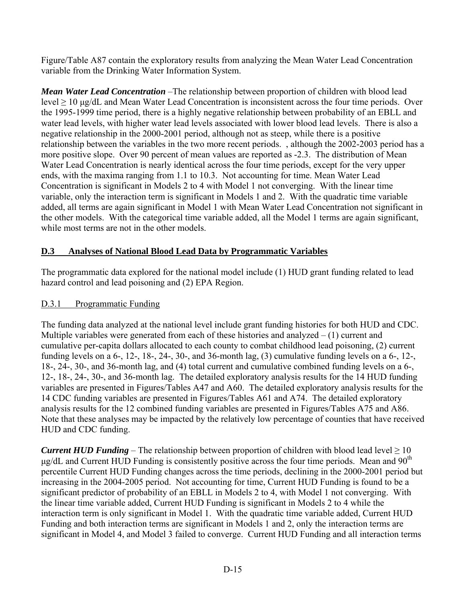Figure/Table A87 contain the exploratory results from analyzing the Mean Water Lead Concentration variable from the Drinking Water Information System.

*Mean Water Lead Concentration* –The relationship between proportion of children with blood lead level ≥ 10 μg/dL and Mean Water Lead Concentration is inconsistent across the four time periods. Over the 1995-1999 time period, there is a highly negative relationship between probability of an EBLL and water lead levels, with higher water lead levels associated with lower blood lead levels. There is also a negative relationship in the 2000-2001 period, although not as steep, while there is a positive relationship between the variables in the two more recent periods. , although the 2002-2003 period has a more positive slope. Over 90 percent of mean values are reported as -2.3. The distribution of Mean Water Lead Concentration is nearly identical across the four time periods, except for the very upper ends, with the maxima ranging from 1.1 to 10.3. Not accounting for time. Mean Water Lead Concentration is significant in Models 2 to 4 with Model 1 not converging. With the linear time variable, only the interaction term is significant in Models 1 and 2. With the quadratic time variable added, all terms are again significant in Model 1 with Mean Water Lead Concentration not significant in the other models. With the categorical time variable added, all the Model 1 terms are again significant, while most terms are not in the other models.

# **D.3 Analyses of National Blood Lead Data by Programmatic Variables**

The programmatic data explored for the national model include (1) HUD grant funding related to lead hazard control and lead poisoning and (2) EPA Region.

# D.3.1 Programmatic Funding

The funding data analyzed at the national level include grant funding histories for both HUD and CDC. Multiple variables were generated from each of these histories and analyzed  $- (1)$  current and cumulative per-capita dollars allocated to each county to combat childhood lead poisoning, (2) current funding levels on a 6-, 12-, 18-, 24-, 30-, and 36-month lag, (3) cumulative funding levels on a 6-, 12-, 18-, 24-, 30-, and 36-month lag, and (4) total current and cumulative combined funding levels on a 6-, 12-, 18-, 24-, 30-, and 36-month lag. The detailed exploratory analysis results for the 14 HUD funding variables are presented in Figures/Tables A47 and A60. The detailed exploratory analysis results for the 14 CDC funding variables are presented in Figures/Tables A61 and A74. The detailed exploratory analysis results for the 12 combined funding variables are presented in Figures/Tables A75 and A86. Note that these analyses may be impacted by the relatively low percentage of counties that have received HUD and CDC funding.

*Current HUD Funding* – The relationship between proportion of children with blood lead level  $\geq 10$  $\mu$ g/dL and Current HUD Funding is consistently positive across the four time periods. Mean and 90<sup>th</sup> percentile Current HUD Funding changes across the time periods, declining in the 2000-2001 period but increasing in the 2004-2005 period. Not accounting for time, Current HUD Funding is found to be a significant predictor of probability of an EBLL in Models 2 to 4, with Model 1 not converging. With the linear time variable added, Current HUD Funding is significant in Models 2 to 4 while the interaction term is only significant in Model 1. With the quadratic time variable added, Current HUD Funding and both interaction terms are significant in Models 1 and 2, only the interaction terms are significant in Model 4, and Model 3 failed to converge. Current HUD Funding and all interaction terms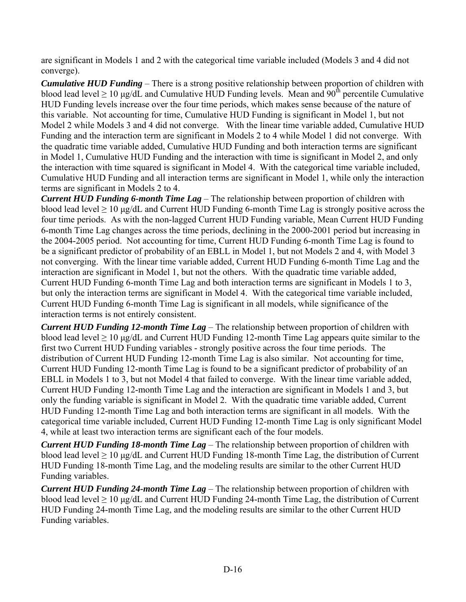are significant in Models 1 and 2 with the categorical time variable included (Models 3 and 4 did not converge).

*Cumulative HUD Funding* – There is a strong positive relationship between proportion of children with blood lead level  $\geq 10$  µg/dL and Cumulative HUD Funding levels. Mean and 90<sup>th</sup> percentile Cumulative HUD Funding levels increase over the four time periods, which makes sense because of the nature of this variable. Not accounting for time, Cumulative HUD Funding is significant in Model 1, but not Model 2 while Models 3 and 4 did not converge. With the linear time variable added, Cumulative HUD Funding and the interaction term are significant in Models 2 to 4 while Model 1 did not converge. With the quadratic time variable added, Cumulative HUD Funding and both interaction terms are significant in Model 1, Cumulative HUD Funding and the interaction with time is significant in Model 2, and only the interaction with time squared is significant in Model 4. With the categorical time variable included, Cumulative HUD Funding and all interaction terms are significant in Model 1, while only the interaction terms are significant in Models 2 to 4.

*Current HUD Funding 6-month Time Lag* – The relationship between proportion of children with blood lead level  $\geq 10$  μg/dL and Current HUD Funding 6-month Time Lag is strongly positive across the four time periods. As with the non-lagged Current HUD Funding variable, Mean Current HUD Funding 6-month Time Lag changes across the time periods, declining in the 2000-2001 period but increasing in the 2004-2005 period. Not accounting for time, Current HUD Funding 6-month Time Lag is found to be a significant predictor of probability of an EBLL in Model 1, but not Models 2 and 4, with Model 3 not converging. With the linear time variable added, Current HUD Funding 6-month Time Lag and the interaction are significant in Model 1, but not the others. With the quadratic time variable added, Current HUD Funding 6-month Time Lag and both interaction terms are significant in Models 1 to 3, but only the interaction terms are significant in Model 4. With the categorical time variable included, Current HUD Funding 6-month Time Lag is significant in all models, while significance of the interaction terms is not entirely consistent.

*Current HUD Funding 12-month Time Lag* – The relationship between proportion of children with blood lead level  $\geq 10$  μg/dL and Current HUD Funding 12-month Time Lag appears quite similar to the first two Current HUD Funding variables - strongly positive across the four time periods. The distribution of Current HUD Funding 12-month Time Lag is also similar. Not accounting for time, Current HUD Funding 12-month Time Lag is found to be a significant predictor of probability of an EBLL in Models 1 to 3, but not Model 4 that failed to converge. With the linear time variable added, Current HUD Funding 12-month Time Lag and the interaction are significant in Models 1 and 3, but only the funding variable is significant in Model 2. With the quadratic time variable added, Current HUD Funding 12-month Time Lag and both interaction terms are significant in all models. With the categorical time variable included, Current HUD Funding 12-month Time Lag is only significant Model 4, while at least two interaction terms are significant each of the four models.

*Current HUD Funding 18-month Time Lag* – The relationship between proportion of children with blood lead level  $\geq 10$  μg/dL and Current HUD Funding 18-month Time Lag, the distribution of Current HUD Funding 18-month Time Lag, and the modeling results are similar to the other Current HUD Funding variables.

*Current HUD Funding 24-month Time Lag* – The relationship between proportion of children with blood lead level  $\geq 10$  μg/dL and Current HUD Funding 24-month Time Lag, the distribution of Current HUD Funding 24-month Time Lag, and the modeling results are similar to the other Current HUD Funding variables.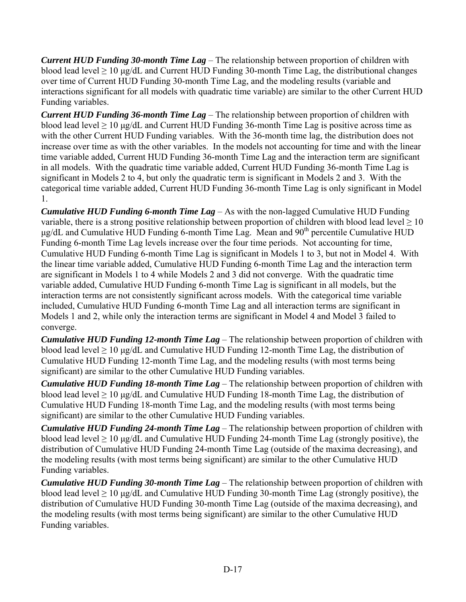*Current HUD Funding 30-month Time Lag* – The relationship between proportion of children with blood lead level  $\geq 10$  μg/dL and Current HUD Funding 30-month Time Lag, the distributional changes over time of Current HUD Funding 30-month Time Lag, and the modeling results (variable and interactions significant for all models with quadratic time variable) are similar to the other Current HUD Funding variables.

*Current HUD Funding 36-month Time Lag* – The relationship between proportion of children with blood lead level  $\geq 10$  μg/dL and Current HUD Funding 36-month Time Lag is positive across time as with the other Current HUD Funding variables. With the 36-month time lag, the distribution does not increase over time as with the other variables. In the models not accounting for time and with the linear time variable added, Current HUD Funding 36-month Time Lag and the interaction term are significant in all models. With the quadratic time variable added, Current HUD Funding 36-month Time Lag is significant in Models 2 to 4, but only the quadratic term is significant in Models 2 and 3. With the categorical time variable added, Current HUD Funding 36-month Time Lag is only significant in Model 1.

*Cumulative HUD Funding 6-month Time Lag* – As with the non-lagged Cumulative HUD Funding variable, there is a strong positive relationship between proportion of children with blood lead level  $\geq 10$ μg/dL and Cumulative HUD Funding 6-month Time Lag. Mean and 90<sup>th</sup> percentile Cumulative HUD Funding 6-month Time Lag levels increase over the four time periods. Not accounting for time, Cumulative HUD Funding 6-month Time Lag is significant in Models 1 to 3, but not in Model 4. With the linear time variable added, Cumulative HUD Funding 6-month Time Lag and the interaction term are significant in Models 1 to 4 while Models 2 and 3 did not converge. With the quadratic time variable added, Cumulative HUD Funding 6-month Time Lag is significant in all models, but the interaction terms are not consistently significant across models. With the categorical time variable included, Cumulative HUD Funding 6-month Time Lag and all interaction terms are significant in Models 1 and 2, while only the interaction terms are significant in Model 4 and Model 3 failed to converge.

*Cumulative HUD Funding 12-month Time Lag* – The relationship between proportion of children with blood lead level  $\geq 10$  μg/dL and Cumulative HUD Funding 12-month Time Lag, the distribution of Cumulative HUD Funding 12-month Time Lag, and the modeling results (with most terms being significant) are similar to the other Cumulative HUD Funding variables.

*Cumulative HUD Funding 18-month Time Lag* – The relationship between proportion of children with blood lead level  $\geq 10$  μg/dL and Cumulative HUD Funding 18-month Time Lag, the distribution of Cumulative HUD Funding 18-month Time Lag, and the modeling results (with most terms being significant) are similar to the other Cumulative HUD Funding variables.

*Cumulative HUD Funding 24-month Time Lag* – The relationship between proportion of children with blood lead level  $\geq 10$  μg/dL and Cumulative HUD Funding 24-month Time Lag (strongly positive), the distribution of Cumulative HUD Funding 24-month Time Lag (outside of the maxima decreasing), and the modeling results (with most terms being significant) are similar to the other Cumulative HUD Funding variables.

*Cumulative HUD Funding 30-month Time Lag* – The relationship between proportion of children with blood lead level  $\geq 10$  μg/dL and Cumulative HUD Funding 30-month Time Lag (strongly positive), the distribution of Cumulative HUD Funding 30-month Time Lag (outside of the maxima decreasing), and the modeling results (with most terms being significant) are similar to the other Cumulative HUD Funding variables.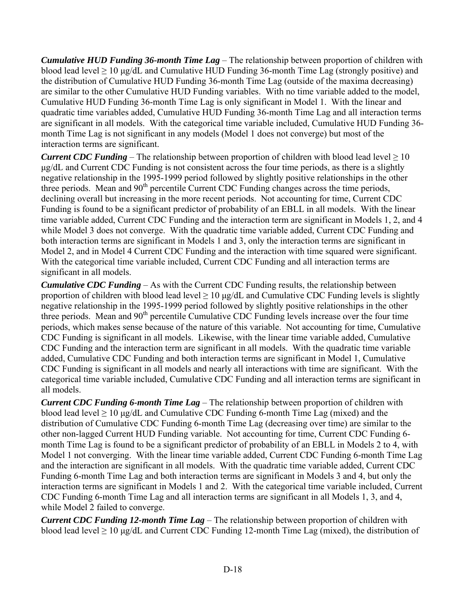*Cumulative HUD Funding 36-month Time Lag* – The relationship between proportion of children with blood lead level  $\geq 10$  μg/dL and Cumulative HUD Funding 36-month Time Lag (strongly positive) and the distribution of Cumulative HUD Funding 36-month Time Lag (outside of the maxima decreasing) are similar to the other Cumulative HUD Funding variables. With no time variable added to the model, Cumulative HUD Funding 36-month Time Lag is only significant in Model 1. With the linear and quadratic time variables added, Cumulative HUD Funding 36-month Time Lag and all interaction terms are significant in all models. With the categorical time variable included, Cumulative HUD Funding 36 month Time Lag is not significant in any models (Model 1 does not converge) but most of the interaction terms are significant.

*Current CDC Funding* – The relationship between proportion of children with blood lead level  $\geq 10$ μg/dL and Current CDC Funding is not consistent across the four time periods, as there is a slightly negative relationship in the 1995-1999 period followed by slightly positive relationships in the other three periods. Mean and 90<sup>th</sup> percentile Current CDC Funding changes across the time periods, declining overall but increasing in the more recent periods. Not accounting for time, Current CDC Funding is found to be a significant predictor of probability of an EBLL in all models. With the linear time variable added, Current CDC Funding and the interaction term are significant in Models 1, 2, and 4 while Model 3 does not converge. With the quadratic time variable added, Current CDC Funding and both interaction terms are significant in Models 1 and 3, only the interaction terms are significant in Model 2, and in Model 4 Current CDC Funding and the interaction with time squared were significant. With the categorical time variable included, Current CDC Funding and all interaction terms are significant in all models.

*Cumulative CDC Funding* – As with the Current CDC Funding results, the relationship between proportion of children with blood lead level  $\geq 10 \mu g/dL$  and Cumulative CDC Funding levels is slightly negative relationship in the 1995-1999 period followed by slightly positive relationships in the other three periods. Mean and 90<sup>th</sup> percentile Cumulative CDC Funding levels increase over the four time periods, which makes sense because of the nature of this variable. Not accounting for time, Cumulative CDC Funding is significant in all models. Likewise, with the linear time variable added, Cumulative CDC Funding and the interaction term are significant in all models. With the quadratic time variable added, Cumulative CDC Funding and both interaction terms are significant in Model 1, Cumulative CDC Funding is significant in all models and nearly all interactions with time are significant. With the categorical time variable included, Cumulative CDC Funding and all interaction terms are significant in all models.

*Current CDC Funding 6-month Time Lag* – The relationship between proportion of children with blood lead level  $\geq 10$  μg/dL and Cumulative CDC Funding 6-month Time Lag (mixed) and the distribution of Cumulative CDC Funding 6-month Time Lag (decreasing over time) are similar to the other non-lagged Current HUD Funding variable. Not accounting for time, Current CDC Funding 6 month Time Lag is found to be a significant predictor of probability of an EBLL in Models 2 to 4, with Model 1 not converging. With the linear time variable added, Current CDC Funding 6-month Time Lag and the interaction are significant in all models. With the quadratic time variable added, Current CDC Funding 6-month Time Lag and both interaction terms are significant in Models 3 and 4, but only the interaction terms are significant in Models 1 and 2. With the categorical time variable included, Current CDC Funding 6-month Time Lag and all interaction terms are significant in all Models 1, 3, and 4, while Model 2 failed to converge.

*Current CDC Funding 12-month Time Lag* – The relationship between proportion of children with blood lead level  $\geq 10$  μg/dL and Current CDC Funding 12-month Time Lag (mixed), the distribution of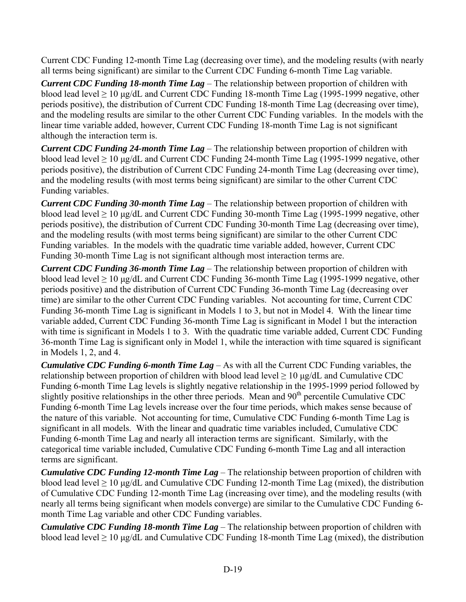Current CDC Funding 12-month Time Lag (decreasing over time), and the modeling results (with nearly all terms being significant) are similar to the Current CDC Funding 6-month Time Lag variable.

*Current CDC Funding 18-month Time Lag* – The relationship between proportion of children with blood lead level  $\geq 10$  μg/dL and Current CDC Funding 18-month Time Lag (1995-1999 negative, other periods positive), the distribution of Current CDC Funding 18-month Time Lag (decreasing over time), and the modeling results are similar to the other Current CDC Funding variables. In the models with the linear time variable added, however, Current CDC Funding 18-month Time Lag is not significant although the interaction term is.

*Current CDC Funding 24-month Time Lag* – The relationship between proportion of children with blood lead level  $\geq 10$  μg/dL and Current CDC Funding 24-month Time Lag (1995-1999 negative, other periods positive), the distribution of Current CDC Funding 24-month Time Lag (decreasing over time), and the modeling results (with most terms being significant) are similar to the other Current CDC Funding variables.

*Current CDC Funding 30-month Time Lag* – The relationship between proportion of children with blood lead level ≥ 10 μg/dL and Current CDC Funding 30-month Time Lag (1995-1999 negative, other periods positive), the distribution of Current CDC Funding 30-month Time Lag (decreasing over time), and the modeling results (with most terms being significant) are similar to the other Current CDC Funding variables. In the models with the quadratic time variable added, however, Current CDC Funding 30-month Time Lag is not significant although most interaction terms are.

*Current CDC Funding 36-month Time Lag* – The relationship between proportion of children with blood lead level  $\geq 10$  μg/dL and Current CDC Funding 36-month Time Lag (1995-1999 negative, other periods positive) and the distribution of Current CDC Funding 36-month Time Lag (decreasing over time) are similar to the other Current CDC Funding variables. Not accounting for time, Current CDC Funding 36-month Time Lag is significant in Models 1 to 3, but not in Model 4. With the linear time variable added, Current CDC Funding 36-month Time Lag is significant in Model 1 but the interaction with time is significant in Models 1 to 3. With the quadratic time variable added, Current CDC Funding 36-month Time Lag is significant only in Model 1, while the interaction with time squared is significant in Models 1, 2, and 4.

*Cumulative CDC Funding 6-month Time Lag* – As with all the Current CDC Funding variables, the relationship between proportion of children with blood lead level  $\geq 10 \mu g/dL$  and Cumulative CDC Funding 6-month Time Lag levels is slightly negative relationship in the 1995-1999 period followed by slightly positive relationships in the other three periods. Mean and  $90<sup>th</sup>$  percentile Cumulative CDC Funding 6-month Time Lag levels increase over the four time periods, which makes sense because of the nature of this variable. Not accounting for time, Cumulative CDC Funding 6-month Time Lag is significant in all models. With the linear and quadratic time variables included, Cumulative CDC Funding 6-month Time Lag and nearly all interaction terms are significant. Similarly, with the categorical time variable included, Cumulative CDC Funding 6-month Time Lag and all interaction terms are significant.

*Cumulative CDC Funding 12-month Time Lag* – The relationship between proportion of children with blood lead level  $\geq 10$  μg/dL and Cumulative CDC Funding 12-month Time Lag (mixed), the distribution of Cumulative CDC Funding 12-month Time Lag (increasing over time), and the modeling results (with nearly all terms being significant when models converge) are similar to the Cumulative CDC Funding 6 month Time Lag variable and other CDC Funding variables.

*Cumulative CDC Funding 18-month Time Lag* – The relationship between proportion of children with blood lead level  $\geq 10$  µg/dL and Cumulative CDC Funding 18-month Time Lag (mixed), the distribution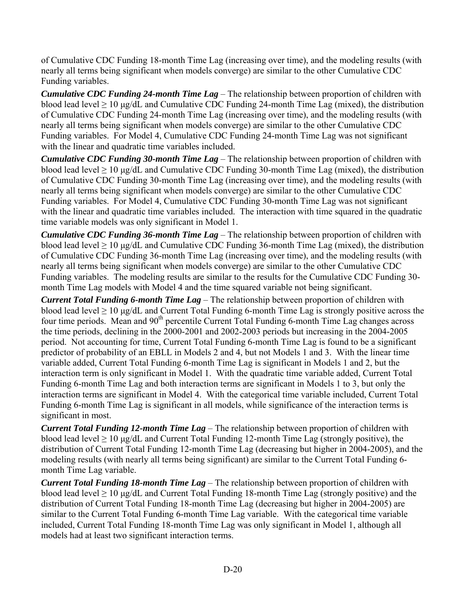of Cumulative CDC Funding 18-month Time Lag (increasing over time), and the modeling results (with nearly all terms being significant when models converge) are similar to the other Cumulative CDC Funding variables.

*Cumulative CDC Funding 24-month Time Lag* – The relationship between proportion of children with blood lead level  $\geq 10$  μg/dL and Cumulative CDC Funding 24-month Time Lag (mixed), the distribution of Cumulative CDC Funding 24-month Time Lag (increasing over time), and the modeling results (with nearly all terms being significant when models converge) are similar to the other Cumulative CDC Funding variables. For Model 4, Cumulative CDC Funding 24-month Time Lag was not significant with the linear and quadratic time variables included.

*Cumulative CDC Funding 30-month Time Lag* – The relationship between proportion of children with blood lead level  $\geq 10$  μg/dL and Cumulative CDC Funding 30-month Time Lag (mixed), the distribution of Cumulative CDC Funding 30-month Time Lag (increasing over time), and the modeling results (with nearly all terms being significant when models converge) are similar to the other Cumulative CDC Funding variables. For Model 4, Cumulative CDC Funding 30-month Time Lag was not significant with the linear and quadratic time variables included. The interaction with time squared in the quadratic time variable models was only significant in Model 1.

*Cumulative CDC Funding 36-month Time Lag* – The relationship between proportion of children with blood lead level  $\geq 10$  μg/dL and Cumulative CDC Funding 36-month Time Lag (mixed), the distribution of Cumulative CDC Funding 36-month Time Lag (increasing over time), and the modeling results (with nearly all terms being significant when models converge) are similar to the other Cumulative CDC Funding variables. The modeling results are similar to the results for the Cumulative CDC Funding 30 month Time Lag models with Model 4 and the time squared variable not being significant.

*Current Total Funding 6-month Time Lag* – The relationship between proportion of children with blood lead level  $\geq 10$  μg/dL and Current Total Funding 6-month Time Lag is strongly positive across the four time periods. Mean and 90<sup>th</sup> percentile Current Total Funding 6-month Time Lag changes across the time periods, declining in the 2000-2001 and 2002-2003 periods but increasing in the 2004-2005 period. Not accounting for time, Current Total Funding 6-month Time Lag is found to be a significant predictor of probability of an EBLL in Models 2 and 4, but not Models 1 and 3. With the linear time variable added, Current Total Funding 6-month Time Lag is significant in Models 1 and 2, but the interaction term is only significant in Model 1. With the quadratic time variable added, Current Total Funding 6-month Time Lag and both interaction terms are significant in Models 1 to 3, but only the interaction terms are significant in Model 4. With the categorical time variable included, Current Total Funding 6-month Time Lag is significant in all models, while significance of the interaction terms is significant in most.

*Current Total Funding 12-month Time Lag* – The relationship between proportion of children with blood lead level  $\geq 10$  μg/dL and Current Total Funding 12-month Time Lag (strongly positive), the distribution of Current Total Funding 12-month Time Lag (decreasing but higher in 2004-2005), and the modeling results (with nearly all terms being significant) are similar to the Current Total Funding 6 month Time Lag variable.

*Current Total Funding 18-month Time Lag* – The relationship between proportion of children with blood lead level  $\geq 10$  μg/dL and Current Total Funding 18-month Time Lag (strongly positive) and the distribution of Current Total Funding 18-month Time Lag (decreasing but higher in 2004-2005) are similar to the Current Total Funding 6-month Time Lag variable. With the categorical time variable included, Current Total Funding 18-month Time Lag was only significant in Model 1, although all models had at least two significant interaction terms.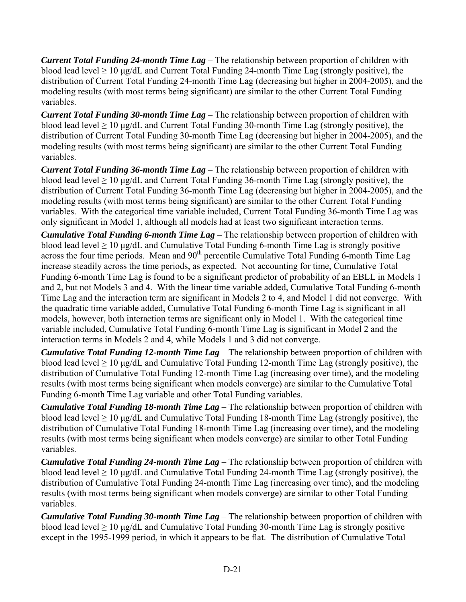*Current Total Funding 24-month Time Lag* – The relationship between proportion of children with blood lead level  $\geq 10$  μg/dL and Current Total Funding 24-month Time Lag (strongly positive), the distribution of Current Total Funding 24-month Time Lag (decreasing but higher in 2004-2005), and the modeling results (with most terms being significant) are similar to the other Current Total Funding variables.

*Current Total Funding 30-month Time Lag* – The relationship between proportion of children with blood lead level  $\geq 10$  μg/dL and Current Total Funding 30-month Time Lag (strongly positive), the distribution of Current Total Funding 30-month Time Lag (decreasing but higher in 2004-2005), and the modeling results (with most terms being significant) are similar to the other Current Total Funding variables.

*Current Total Funding 36-month Time Lag* – The relationship between proportion of children with blood lead level  $\geq 10$  μg/dL and Current Total Funding 36-month Time Lag (strongly positive), the distribution of Current Total Funding 36-month Time Lag (decreasing but higher in 2004-2005), and the modeling results (with most terms being significant) are similar to the other Current Total Funding variables. With the categorical time variable included, Current Total Funding 36-month Time Lag was only significant in Model 1, although all models had at least two significant interaction terms.

*Cumulative Total Funding 6-month Time Lag* – The relationship between proportion of children with blood lead level  $\geq 10$  µg/dL and Cumulative Total Funding 6-month Time Lag is strongly positive across the four time periods. Mean and  $90<sup>th</sup>$  percentile Cumulative Total Funding 6-month Time Lag increase steadily across the time periods, as expected. Not accounting for time, Cumulative Total Funding 6-month Time Lag is found to be a significant predictor of probability of an EBLL in Models 1 and 2, but not Models 3 and 4. With the linear time variable added, Cumulative Total Funding 6-month Time Lag and the interaction term are significant in Models 2 to 4, and Model 1 did not converge. With the quadratic time variable added, Cumulative Total Funding 6-month Time Lag is significant in all models, however, both interaction terms are significant only in Model 1. With the categorical time variable included, Cumulative Total Funding 6-month Time Lag is significant in Model 2 and the interaction terms in Models 2 and 4, while Models 1 and 3 did not converge.

*Cumulative Total Funding 12-month Time Lag* – The relationship between proportion of children with blood lead level  $\geq 10$  μg/dL and Cumulative Total Funding 12-month Time Lag (strongly positive), the distribution of Cumulative Total Funding 12-month Time Lag (increasing over time), and the modeling results (with most terms being significant when models converge) are similar to the Cumulative Total Funding 6-month Time Lag variable and other Total Funding variables.

*Cumulative Total Funding 18-month Time Lag* – The relationship between proportion of children with blood lead level  $\geq 10$  μg/dL and Cumulative Total Funding 18-month Time Lag (strongly positive), the distribution of Cumulative Total Funding 18-month Time Lag (increasing over time), and the modeling results (with most terms being significant when models converge) are similar to other Total Funding variables.

*Cumulative Total Funding 24-month Time Lag* – The relationship between proportion of children with blood lead level  $\geq 10$  μg/dL and Cumulative Total Funding 24-month Time Lag (strongly positive), the distribution of Cumulative Total Funding 24-month Time Lag (increasing over time), and the modeling results (with most terms being significant when models converge) are similar to other Total Funding variables.

*Cumulative Total Funding 30-month Time Lag* – The relationship between proportion of children with blood lead level  $\geq 10$  μg/dL and Cumulative Total Funding 30-month Time Lag is strongly positive except in the 1995-1999 period, in which it appears to be flat. The distribution of Cumulative Total